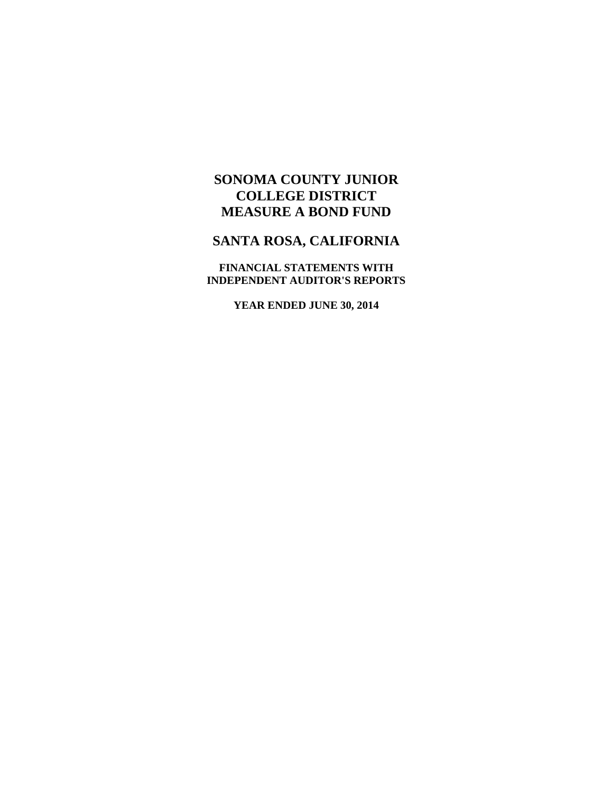# **SANTA ROSA, CALIFORNIA**

**FINANCIAL STATEMENTS WITH INDEPENDENT AUDITOR'S REPORTS**

**YEAR ENDED JUNE 30, 2014**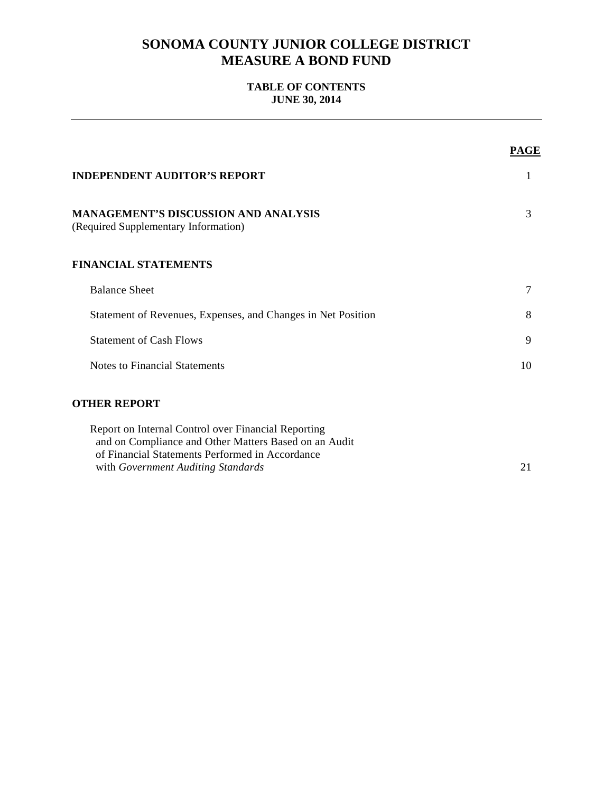# **TABLE OF CONTENTS JUNE 30, 2014**

|                                                                                                              | PAGE |
|--------------------------------------------------------------------------------------------------------------|------|
| <b>INDEPENDENT AUDITOR'S REPORT</b>                                                                          | T    |
| <b>MANAGEMENT'S DISCUSSION AND ANALYSIS</b><br>(Required Supplementary Information)                          | 3    |
| <b>FINANCIAL STATEMENTS</b>                                                                                  |      |
| <b>Balance Sheet</b>                                                                                         | 7    |
| Statement of Revenues, Expenses, and Changes in Net Position                                                 | 8    |
| <b>Statement of Cash Flows</b>                                                                               | 9    |
| <b>Notes to Financial Statements</b>                                                                         | 10   |
| <b>OTHER REPORT</b>                                                                                          |      |
| Report on Internal Control over Financial Reporting<br>and on Compliance and Other Matters Based on an Audit |      |
| of Financial Statements Performed in Accordance                                                              |      |
| with Government Auditing Standards                                                                           | 21   |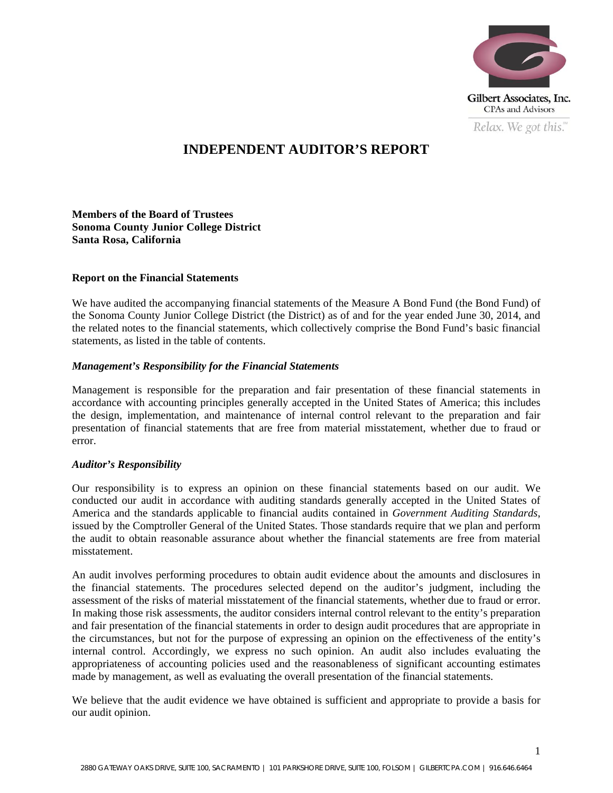

# **INDEPENDENT AUDITOR'S REPORT**

**Members of the Board of Trustees Sonoma County Junior College District Santa Rosa, California** 

### **Report on the Financial Statements**

We have audited the accompanying financial statements of the Measure A Bond Fund (the Bond Fund) of the Sonoma County Junior College District (the District) as of and for the year ended June 30, 2014, and the related notes to the financial statements, which collectively comprise the Bond Fund's basic financial statements, as listed in the table of contents.

#### *Management's Responsibility for the Financial Statements*

Management is responsible for the preparation and fair presentation of these financial statements in accordance with accounting principles generally accepted in the United States of America; this includes the design, implementation, and maintenance of internal control relevant to the preparation and fair presentation of financial statements that are free from material misstatement, whether due to fraud or error.

#### *Auditor's Responsibility*

Our responsibility is to express an opinion on these financial statements based on our audit. We conducted our audit in accordance with auditing standards generally accepted in the United States of America and the standards applicable to financial audits contained in *Government Auditing Standards*, issued by the Comptroller General of the United States. Those standards require that we plan and perform the audit to obtain reasonable assurance about whether the financial statements are free from material misstatement.

An audit involves performing procedures to obtain audit evidence about the amounts and disclosures in the financial statements. The procedures selected depend on the auditor's judgment, including the assessment of the risks of material misstatement of the financial statements, whether due to fraud or error. In making those risk assessments, the auditor considers internal control relevant to the entity's preparation and fair presentation of the financial statements in order to design audit procedures that are appropriate in the circumstances, but not for the purpose of expressing an opinion on the effectiveness of the entity's internal control. Accordingly, we express no such opinion. An audit also includes evaluating the appropriateness of accounting policies used and the reasonableness of significant accounting estimates made by management, as well as evaluating the overall presentation of the financial statements.

We believe that the audit evidence we have obtained is sufficient and appropriate to provide a basis for our audit opinion.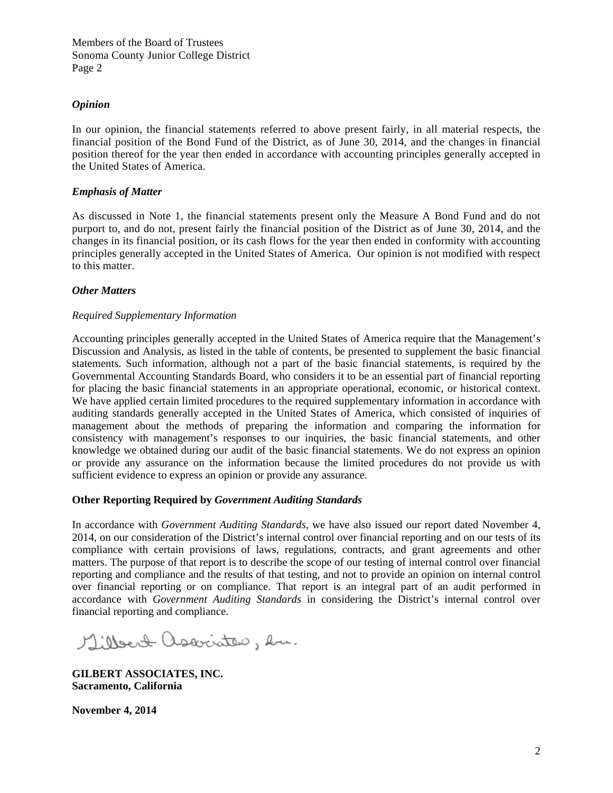Members of the Board of Trustees Sonoma County Junior College District Page 2

## *Opinion*

In our opinion, the financial statements referred to above present fairly, in all material respects, the financial position of the Bond Fund of the District, as of June 30, 2014, and the changes in financial position thereof for the year then ended in accordance with accounting principles generally accepted in the United States of America.

### *Emphasis of Matter*

As discussed in Note 1, the financial statements present only the Measure A Bond Fund and do not purport to, and do not, present fairly the financial position of the District as of June 30, 2014, and the changes in its financial position, or its cash flows for the year then ended in conformity with accounting principles generally accepted in the United States of America. Our opinion is not modified with respect to this matter.

### *Other Matters*

### *Required Supplementary Information*

Accounting principles generally accepted in the United States of America require that the Management's Discussion and Analysis, as listed in the table of contents, be presented to supplement the basic financial statements. Such information, although not a part of the basic financial statements, is required by the Governmental Accounting Standards Board, who considers it to be an essential part of financial reporting for placing the basic financial statements in an appropriate operational, economic, or historical context. We have applied certain limited procedures to the required supplementary information in accordance with auditing standards generally accepted in the United States of America, which consisted of inquiries of management about the methods of preparing the information and comparing the information for consistency with management's responses to our inquiries, the basic financial statements, and other knowledge we obtained during our audit of the basic financial statements. We do not express an opinion or provide any assurance on the information because the limited procedures do not provide us with sufficient evidence to express an opinion or provide any assurance.

#### **Other Reporting Required by** *Government Auditing Standards*

In accordance with *Government Auditing Standards*, we have also issued our report dated November 4, 2014, on our consideration of the District's internal control over financial reporting and on our tests of its compliance with certain provisions of laws, regulations, contracts, and grant agreements and other matters. The purpose of that report is to describe the scope of our testing of internal control over financial reporting and compliance and the results of that testing, and not to provide an opinion on internal control over financial reporting or on compliance. That report is an integral part of an audit performed in accordance with *Government Auditing Standards* in considering the District's internal control over financial reporting and compliance.

Millert associates, en.

**GILBERT ASSOCIATES, INC. Sacramento, California** 

**November 4, 2014**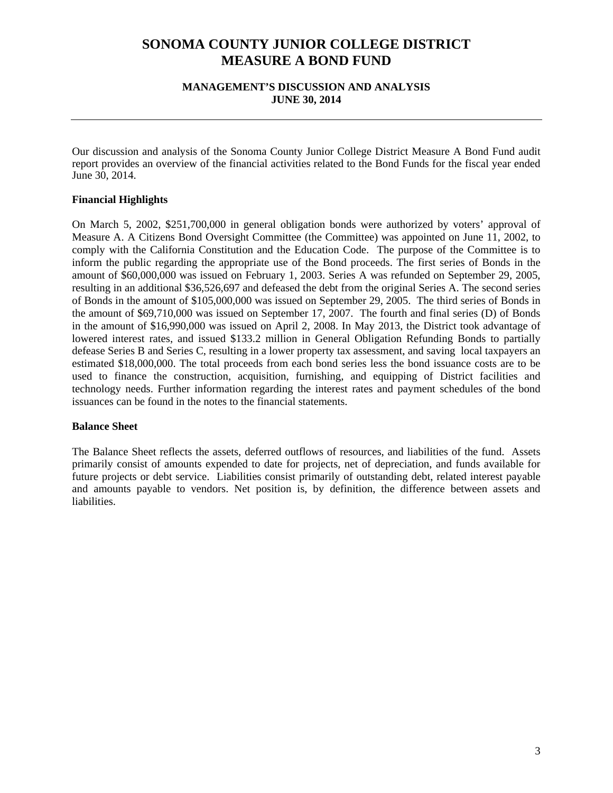### **MANAGEMENT'S DISCUSSION AND ANALYSIS JUNE 30, 2014**

Our discussion and analysis of the Sonoma County Junior College District Measure A Bond Fund audit report provides an overview of the financial activities related to the Bond Funds for the fiscal year ended June 30, 2014.

## **Financial Highlights**

On March 5, 2002, \$251,700,000 in general obligation bonds were authorized by voters' approval of Measure A. A Citizens Bond Oversight Committee (the Committee) was appointed on June 11, 2002, to comply with the California Constitution and the Education Code. The purpose of the Committee is to inform the public regarding the appropriate use of the Bond proceeds. The first series of Bonds in the amount of \$60,000,000 was issued on February 1, 2003. Series A was refunded on September 29, 2005, resulting in an additional \$36,526,697 and defeased the debt from the original Series A. The second series of Bonds in the amount of \$105,000,000 was issued on September 29, 2005. The third series of Bonds in the amount of \$69,710,000 was issued on September 17, 2007. The fourth and final series (D) of Bonds in the amount of \$16,990,000 was issued on April 2, 2008. In May 2013, the District took advantage of lowered interest rates, and issued \$133.2 million in General Obligation Refunding Bonds to partially defease Series B and Series C, resulting in a lower property tax assessment, and saving local taxpayers an estimated \$18,000,000. The total proceeds from each bond series less the bond issuance costs are to be used to finance the construction, acquisition, furnishing, and equipping of District facilities and technology needs. Further information regarding the interest rates and payment schedules of the bond issuances can be found in the notes to the financial statements.

## **Balance Sheet**

The Balance Sheet reflects the assets, deferred outflows of resources, and liabilities of the fund. Assets primarily consist of amounts expended to date for projects, net of depreciation, and funds available for future projects or debt service. Liabilities consist primarily of outstanding debt, related interest payable and amounts payable to vendors. Net position is, by definition, the difference between assets and liabilities.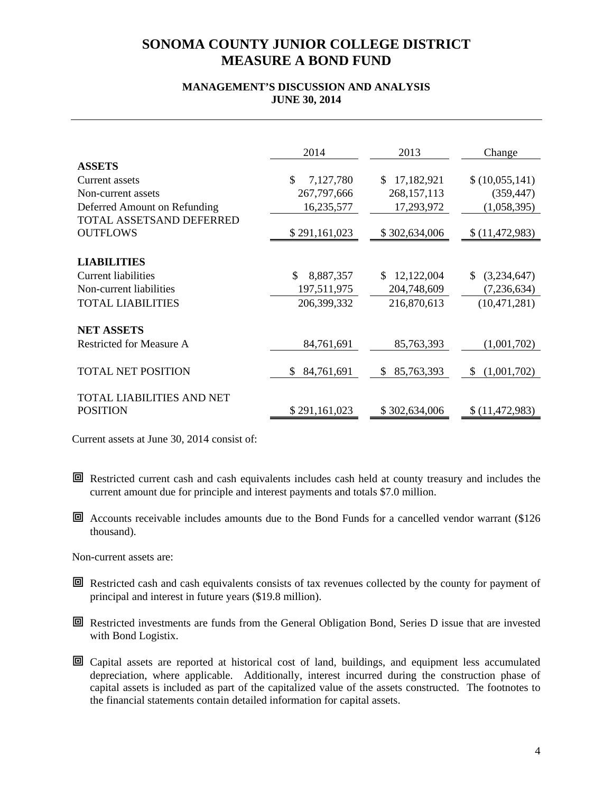## **MANAGEMENT'S DISCUSSION AND ANALYSIS JUNE 30, 2014**

|                                 | 2014             | 2013             | Change             |
|---------------------------------|------------------|------------------|--------------------|
| <b>ASSETS</b>                   |                  |                  |                    |
| Current assets                  | 7,127,780<br>\$  | 17,182,921<br>\$ | \$(10,055,141)     |
| Non-current assets              | 267,797,666      | 268, 157, 113    | (359, 447)         |
| Deferred Amount on Refunding    | 16,235,577       | 17,293,972       | (1,058,395)        |
| TOTAL ASSETSAND DEFERRED        |                  |                  |                    |
| <b>OUTFLOWS</b>                 | \$291,161,023    | \$302,634,006    | \$(11, 472, 983)   |
|                                 |                  |                  |                    |
| <b>LIABILITIES</b>              |                  |                  |                    |
| <b>Current liabilities</b>      | \$<br>8,887,357  | 12,122,004<br>\$ | \$.<br>(3,234,647) |
| Non-current liabilities         | 197,511,975      | 204,748,609      | (7, 236, 634)      |
| <b>TOTAL LIABILITIES</b>        | 206,399,332      | 216,870,613      | (10, 471, 281)     |
|                                 |                  |                  |                    |
| <b>NET ASSETS</b>               |                  |                  |                    |
| <b>Restricted for Measure A</b> | 84,761,691       | 85,763,393       | (1,001,702)        |
|                                 |                  |                  |                    |
| <b>TOTAL NET POSITION</b>       | 84,761,691<br>\$ | 85,763,393<br>S. | (1,001,702)<br>S   |
|                                 |                  |                  |                    |
| TOTAL LIABILITIES AND NET       |                  |                  |                    |
| <b>POSITION</b>                 | \$291,161,023    | \$302,634,006    | \$(11, 472, 983)   |

Current assets at June 30, 2014 consist of:

- Restricted current cash and cash equivalents includes cash held at county treasury and includes the current amount due for principle and interest payments and totals \$7.0 million.
- Accounts receivable includes amounts due to the Bond Funds for a cancelled vendor warrant (\$126 thousand).

Non-current assets are:

- Restricted cash and cash equivalents consists of tax revenues collected by the county for payment of principal and interest in future years (\$19.8 million).
- Restricted investments are funds from the General Obligation Bond, Series D issue that are invested with Bond Logistix.
- Capital assets are reported at historical cost of land, buildings, and equipment less accumulated depreciation, where applicable. Additionally, interest incurred during the construction phase of capital assets is included as part of the capitalized value of the assets constructed. The footnotes to the financial statements contain detailed information for capital assets.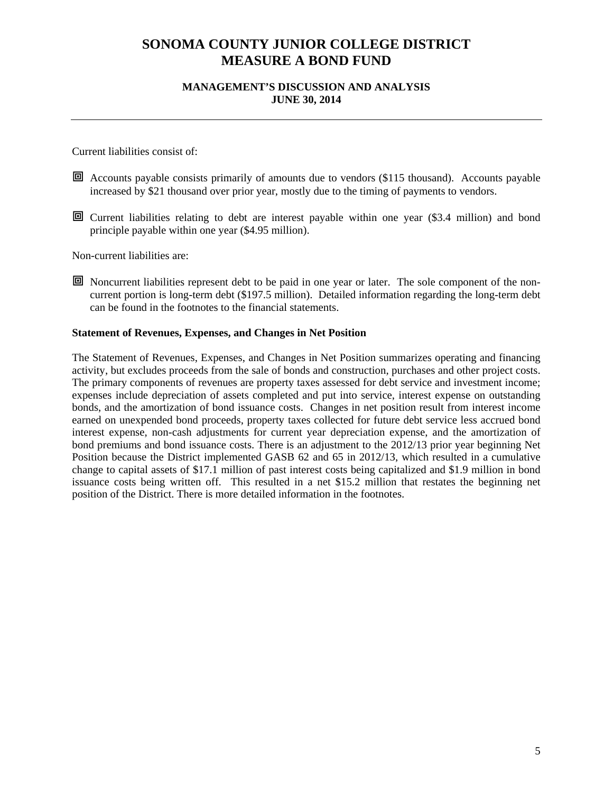## **MANAGEMENT'S DISCUSSION AND ANALYSIS JUNE 30, 2014**

Current liabilities consist of:

- Accounts payable consists primarily of amounts due to vendors (\$115 thousand). Accounts payable increased by \$21 thousand over prior year, mostly due to the timing of payments to vendors.
- Current liabilities relating to debt are interest payable within one year (\$3.4 million) and bond principle payable within one year (\$4.95 million).

Non-current liabilities are:

 Noncurrent liabilities represent debt to be paid in one year or later. The sole component of the noncurrent portion is long-term debt (\$197.5 million). Detailed information regarding the long-term debt can be found in the footnotes to the financial statements.

#### **Statement of Revenues, Expenses, and Changes in Net Position**

activity, but excludes proceeds from the sale of bonds and construction, purchases and other project costs. The Statement of Revenues, Expenses, and Changes in Net Position summarizes operating and financing The primary components of revenues are property taxes assessed for debt service and investment income; expenses include depreciation of assets completed and put into service, interest expense on outstanding bonds, and the amortization of bond issuance costs. Changes in net position result from interest income earned on unexpended bond proceeds, property taxes collected for future debt service less accrued bond interest expense, non-cash adjustments for current year depreciation expense, and the amortization of bond premiums and bond issuance costs. There is an adjustment to the 2012/13 prior year beginning Net Position because the District implemented GASB 62 and 65 in 2012/13, which resulted in a cumulative change to capital assets of \$17.1 million of past interest costs being capitalized and \$1.9 million in bond issuance costs being written off. This resulted in a net \$15.2 million that restates the beginning net position of the District. There is more detailed information in the footnotes.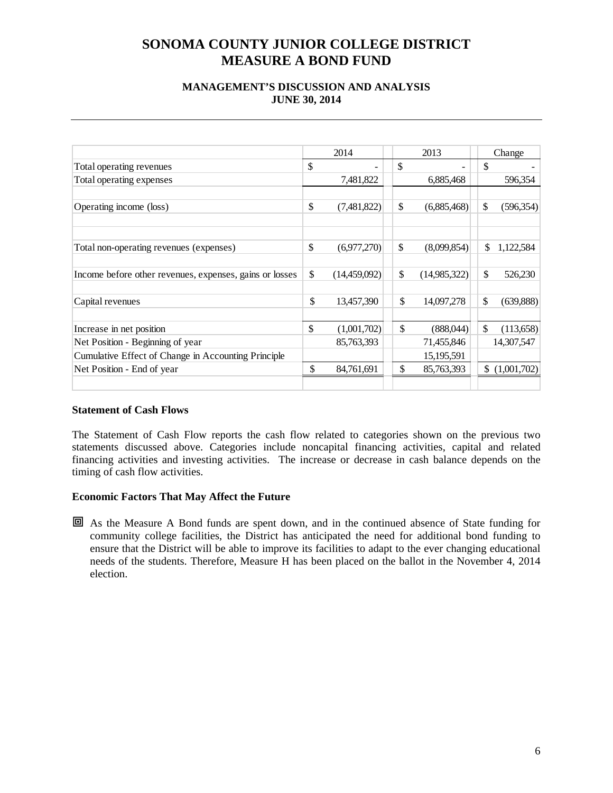## **MANAGEMENT'S DISCUSSION AND ANALYSIS JUNE 30, 2014**

| 2014               |              | 2013                         | Change           |
|--------------------|--------------|------------------------------|------------------|
| \$<br>۰            | \$           | $\qquad \qquad \blacksquare$ | \$               |
| 7,481,822          |              | 6,885,468                    | 596,354          |
| \$<br>(7,481,822)  | \$           | (6,885,468)                  | \$<br>(596, 354) |
| \$<br>(6,977,270)  | \$           | (8,099,854)                  | \$<br>1,122,584  |
| \$<br>(14,459,092) | \$           | (14,985,322)                 | \$<br>526,230    |
| \$<br>13,457,390   | \$           | 14,097,278                   | \$<br>(639, 888) |
| \$<br>(1,001,702)  | $\mathbb{S}$ | (888,044)                    | \$<br>(113, 658) |
| 85,763,393         |              | 71,455,846                   | 14,307,547       |
|                    |              | 15,195,591                   |                  |
| \$<br>84,761,691   | \$           | 85,763,393                   | (1,001,702)      |
|                    |              |                              | S.               |

## **Statement of Cash Flows**

The Statement of Cash Flow reports the cash flow related to categories shown on the previous two statements discussed above. Categories include noncapital financing activities, capital and related financing activities and investing activities. The increase or decrease in cash balance depends on the timing of cash flow activities.

## **Economic Factors That May Affect the Future**

 As the Measure A Bond funds are spent down, and in the continued absence of State funding for community college facilities, the District has anticipated the need for additional bond funding to ensure that the District will be able to improve its facilities to adapt to the ever changing educational needs of the students. Therefore, Measure H has been placed on the ballot in the November 4, 2014 election.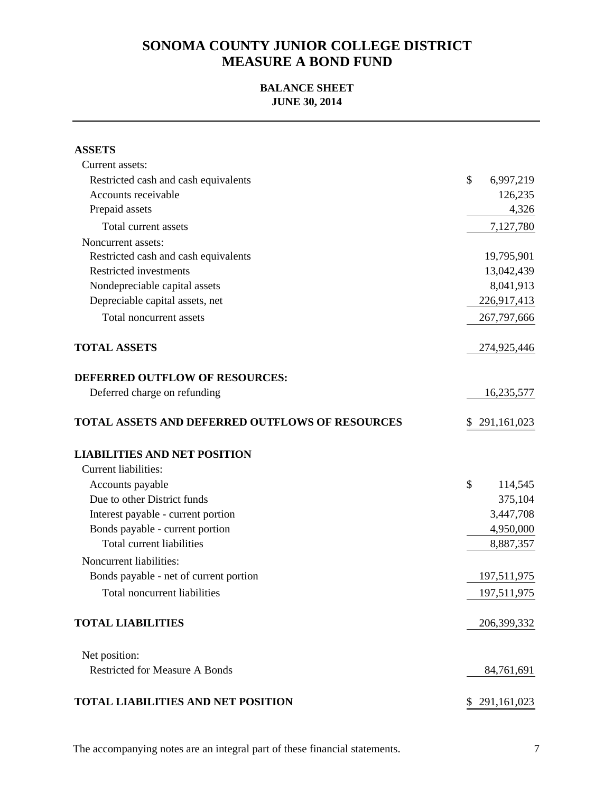## **BALANCE SHEET JUNE 30, 2014**

| <b>ASSETS</b>                                          |                   |
|--------------------------------------------------------|-------------------|
| Current assets:                                        |                   |
| Restricted cash and cash equivalents                   | \$<br>6,997,219   |
| Accounts receivable                                    | 126,235           |
| Prepaid assets                                         | 4,326             |
| Total current assets                                   | 7,127,780         |
| Noncurrent assets:                                     |                   |
| Restricted cash and cash equivalents                   | 19,795,901        |
| Restricted investments                                 | 13,042,439        |
| Nondepreciable capital assets                          | 8,041,913         |
| Depreciable capital assets, net                        | 226,917,413       |
| Total noncurrent assets                                | 267,797,666       |
| <b>TOTAL ASSETS</b>                                    | 274,925,446       |
| <b>DEFERRED OUTFLOW OF RESOURCES:</b>                  |                   |
| Deferred charge on refunding                           | 16,235,577        |
| <b>TOTAL ASSETS AND DEFERRED OUTFLOWS OF RESOURCES</b> | 291,161,023<br>\$ |
| <b>LIABILITIES AND NET POSITION</b>                    |                   |
| <b>Current liabilities:</b>                            |                   |
| Accounts payable                                       | \$<br>114,545     |
| Due to other District funds                            | 375,104           |
| Interest payable - current portion                     | 3,447,708         |
| Bonds payable - current portion                        | 4,950,000         |
| Total current liabilities                              | 8,887,357         |
| Noncurrent liabilities:                                |                   |
| Bonds payable - net of current portion                 | 197,511,975       |
| <b>Total noncurrent liabilities</b>                    | 197,511,975       |
| <b>TOTAL LIABILITIES</b>                               | 206,399,332       |
| Net position:                                          |                   |
| <b>Restricted for Measure A Bonds</b>                  | 84,761,691        |
| <b>TOTAL LIABILITIES AND NET POSITION</b>              | 291,161,023<br>S. |

The accompanying notes are an integral part of these financial statements.  $7 \overline{2}$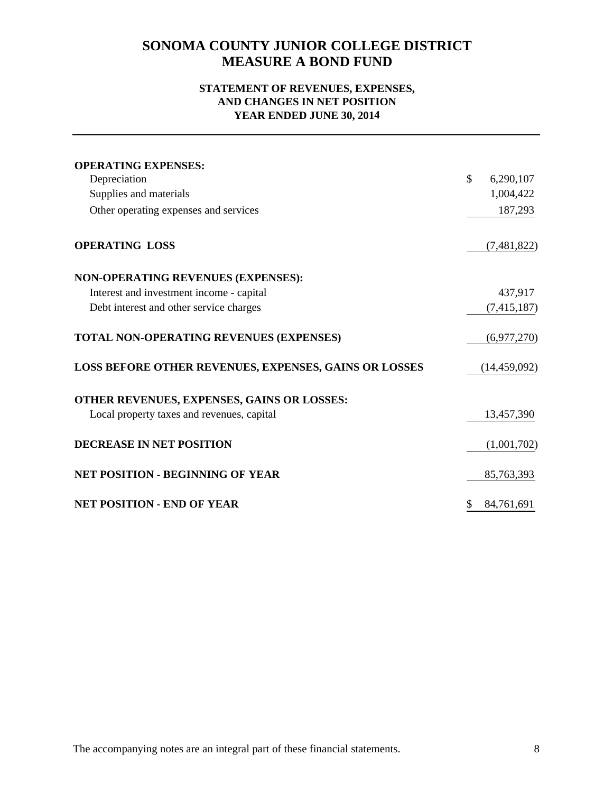# **STATEMENT OF REVENUES, EXPENSES, AND CHANGES IN NET POSITION YEAR ENDED JUNE 30, 2014**

| <b>OPERATING EXPENSES:</b>                            |                            |
|-------------------------------------------------------|----------------------------|
| Depreciation                                          | $\mathcal{S}$<br>6,290,107 |
| Supplies and materials                                | 1,004,422                  |
| Other operating expenses and services                 | 187,293                    |
| <b>OPERATING LOSS</b>                                 | (7,481,822)                |
| <b>NON-OPERATING REVENUES (EXPENSES):</b>             |                            |
| Interest and investment income - capital              | 437,917                    |
| Debt interest and other service charges               | (7,415,187)                |
| TOTAL NON-OPERATING REVENUES (EXPENSES)               | (6,977,270)                |
| LOSS BEFORE OTHER REVENUES, EXPENSES, GAINS OR LOSSES | (14, 459, 092)             |
| OTHER REVENUES, EXPENSES, GAINS OR LOSSES:            |                            |
| Local property taxes and revenues, capital            | 13,457,390                 |
| <b>DECREASE IN NET POSITION</b>                       | (1,001,702)                |
| <b>NET POSITION - BEGINNING OF YEAR</b>               | 85,763,393                 |
| <b>NET POSITION - END OF YEAR</b>                     | 84,761,691                 |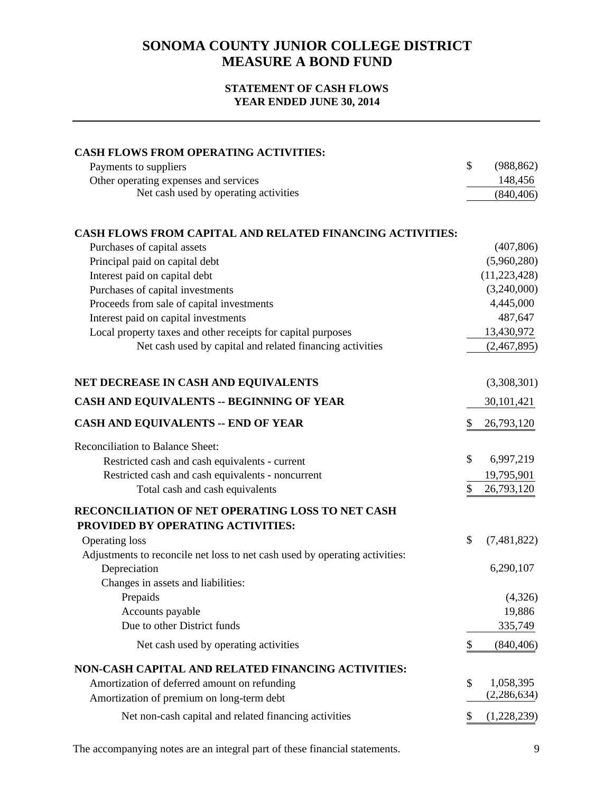## **STATEMENT OF CASH FLOWS YEAR ENDED JUNE 30, 2014**

| <b>CASH FLOWS FROM OPERATING ACTIVITIES:</b>                                          |    |                |
|---------------------------------------------------------------------------------------|----|----------------|
| Payments to suppliers                                                                 | \$ | (988, 862)     |
| Other operating expenses and services                                                 |    | 148,456        |
| Net cash used by operating activities                                                 |    | (840, 406)     |
| <b>CASH FLOWS FROM CAPITAL AND RELATED FINANCING ACTIVITIES:</b>                      |    |                |
| Purchases of capital assets                                                           |    | (407, 806)     |
| Principal paid on capital debt                                                        |    | (5,960,280)    |
| Interest paid on capital debt                                                         |    | (11, 223, 428) |
| Purchases of capital investments                                                      |    | (3,240,000)    |
| Proceeds from sale of capital investments                                             |    | 4,445,000      |
| Interest paid on capital investments                                                  |    | 487,647        |
| Local property taxes and other receipts for capital purposes                          |    | 13,430,972     |
| Net cash used by capital and related financing activities                             |    | (2,467,895)    |
| NET DECREASE IN CASH AND EQUIVALENTS                                                  |    | (3,308,301)    |
| CASH AND EQUIVALENTS -- BEGINNING OF YEAR                                             |    | 30, 101, 421   |
| <b>CASH AND EQUIVALENTS -- END OF YEAR</b>                                            | S  | 26,793,120     |
| <b>Reconciliation to Balance Sheet:</b>                                               |    |                |
| Restricted cash and cash equivalents - current                                        | \$ | 6,997,219      |
| Restricted cash and cash equivalents - noncurrent                                     |    | 19,795,901     |
| Total cash and cash equivalents                                                       | \$ | 26,793,120     |
| RECONCILIATION OF NET OPERATING LOSS TO NET CASH<br>PROVIDED BY OPERATING ACTIVITIES: |    |                |
| <b>Operating loss</b>                                                                 | \$ | (7,481,822)    |
| Adjustments to reconcile net loss to net cash used by operating activities:           |    |                |
| Depreciation                                                                          |    | 6,290,107      |
| Changes in assets and liabilities:                                                    |    |                |
| Prepaids                                                                              |    | (4,326)        |
| Accounts payable                                                                      |    | 19,886         |
| Due to other District funds                                                           |    | 335,749        |
| Net cash used by operating activities                                                 | \$ | (840, 406)     |
| NON-CASH CAPITAL AND RELATED FINANCING ACTIVITIES:                                    |    |                |
| Amortization of deferred amount on refunding                                          | \$ | 1,058,395      |
| Amortization of premium on long-term debt                                             |    | (2, 286, 634)  |
| Net non-cash capital and related financing activities                                 | \$ | (1,228,239)    |

The accompanying notes are an integral part of these financial statements. 9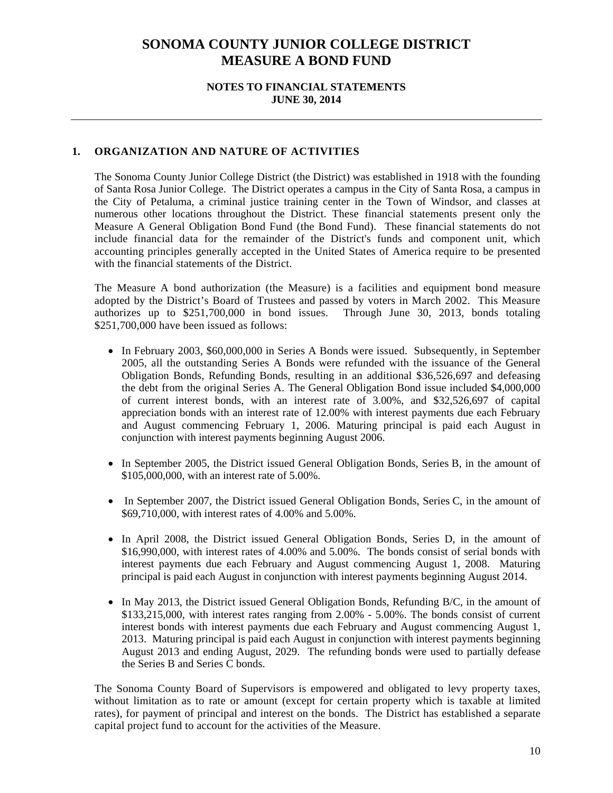### **NOTES TO FINANCIAL STATEMENTS JUNE 30, 2014**

## **1. ORGANIZATION AND NATURE OF ACTIVITIES**

 numerous other locations throughout the District. These financial statements present only the The Sonoma County Junior College District (the District) was established in 1918 with the founding of Santa Rosa Junior College. The District operates a campus in the City of Santa Rosa, a campus in the City of Petaluma, a criminal justice training center in the Town of Windsor, and classes at Measure A General Obligation Bond Fund (the Bond Fund). These financial statements do not include financial data for the remainder of the District's funds and component unit, which accounting principles generally accepted in the United States of America require to be presented with the financial statements of the District.

The Measure A bond authorization (the Measure) is a facilities and equipment bond measure adopted by the District's Board of Trustees and passed by voters in March 2002. This Measure authorizes up to \$251,700,000 in bond issues. Through June 30, 2013, bonds totaling \$251,700,000 have been issued as follows:

- In February 2003, \$60,000,000 in Series A Bonds were issued. Subsequently, in September 2005, all the outstanding Series A Bonds were refunded with the issuance of the General Obligation Bonds, Refunding Bonds, resulting in an additional \$36,526,697 and defeasing the debt from the original Series A. The General Obligation Bond issue included \$4,000,000 of current interest bonds, with an interest rate of 3.00%, and \$32,526,697 of capital appreciation bonds with an interest rate of 12.00% with interest payments due each February and August commencing February 1, 2006. Maturing principal is paid each August in conjunction with interest payments beginning August 2006.
- In September 2005, the District issued General Obligation Bonds, Series B, in the amount of \$105,000,000, with an interest rate of 5.00%.
- \$69,710,000, with interest rates of 4.00% and 5.00%. • In September 2007, the District issued General Obligation Bonds, Series C, in the amount of
- In April 2008, the District issued General Obligation Bonds, Series D, in the amount of \$16,990,000, with interest rates of 4,00% and 5.00%. The bonds consist of serial bonds with interest payments due each February and August commencing August 1, 2008. Maturing principal is paid each August in conjunction with interest payments beginning August 2014.
- In May 2013, the District issued General Obligation Bonds, Refunding B/C, in the amount of \$133,215,000, with interest rates ranging from 2.00% - 5.00%. The bonds consist of current interest bonds with interest payments due each February and August commencing August 1, 2013. Maturing principal is paid each August in conjunction with interest payments beginning August 2013 and ending August, 2029. The refunding bonds were used to partially defease the Series B and Series C bonds.

 The Sonoma County Board of Supervisors is empowered and obligated to levy property taxes, without limitation as to rate or amount (except for certain property which is taxable at limited rates), for payment of principal and interest on the bonds. The District has established a separate capital project fund to account for the activities of the Measure.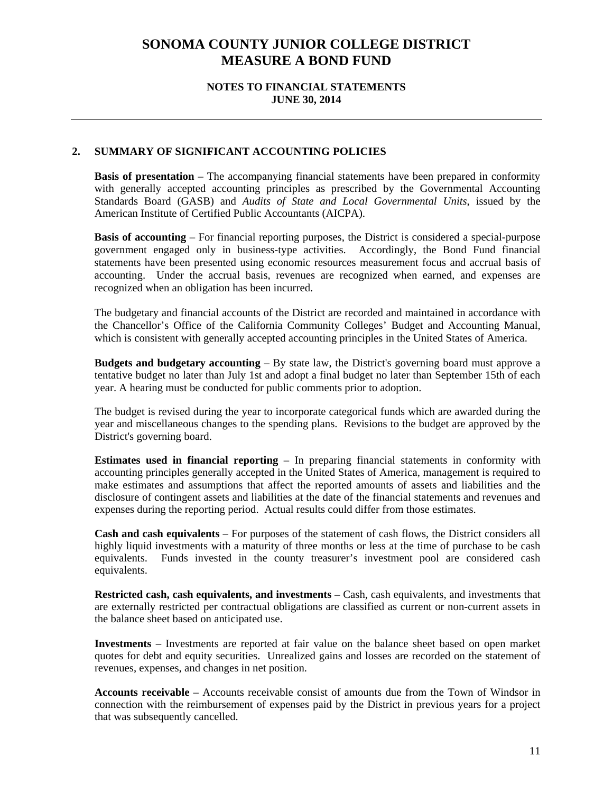### **NOTES TO FINANCIAL STATEMENTS JUNE 30, 2014**

### **2. SUMMARY OF SIGNIFICANT ACCOUNTING POLICIES**

**Basis of presentation** – The accompanying financial statements have been prepared in conformity with generally accepted accounting principles as prescribed by the Governmental Accounting Standards Board (GASB) and *Audits of State and Local Governmental Units*, issued by the American Institute of Certified Public Accountants (AICPA).

**Basis of accounting** – For financial reporting purposes, the District is considered a special-purpose government engaged only in business-type activities. Accordingly, the Bond Fund financial statements have been presented using economic resources measurement focus and accrual basis of accounting. Under the accrual basis, revenues are recognized when earned, and expenses are recognized when an obligation has been incurred.

The budgetary and financial accounts of the District are recorded and maintained in accordance with the Chancellor's Office of the California Community Colleges' Budget and Accounting Manual, which is consistent with generally accepted accounting principles in the United States of America.

year. A hearing must be conducted for public comments prior to adoption. **Budgets and budgetary accounting – By state law, the District's governing board must approve a** tentative budget no later than July 1st and adopt a final budget no later than September 15th of each

The budget is revised during the year to incorporate categorical funds which are awarded during the year and miscellaneous changes to the spending plans. Revisions to the budget are approved by the District's governing board.

**Estimates used in financial reporting** – In preparing financial statements in conformity with accounting principles generally accepted in the United States of America, management is required to make estimates and assumptions that affect the reported amounts of assets and liabilities and the disclosure of contingent assets and liabilities at the date of the financial statements and revenues and expenses during the reporting period. Actual results could differ from those estimates.

**Cash and cash equivalents** – For purposes of the statement of cash flows, the District considers all highly liquid investments with a maturity of three months or less at the time of purchase to be cash equivalents. Funds invested in the county treasurer's investment pool are considered cash equivalents.

**Restricted cash, cash equivalents, and investments** – Cash, cash equivalents, and investments that are externally restricted per contractual obligations are classified as current or non-current assets in the balance sheet based on anticipated use.

**Investments** – Investments are reported at fair value on the balance sheet based on open market quotes for debt and equity securities. Unrealized gains and losses are recorded on the statement of revenues, expenses, and changes in net position.

**Accounts receivable** – Accounts receivable consist of amounts due from the Town of Windsor in connection with the reimbursement of expenses paid by the District in previous years for a project that was subsequently cancelled.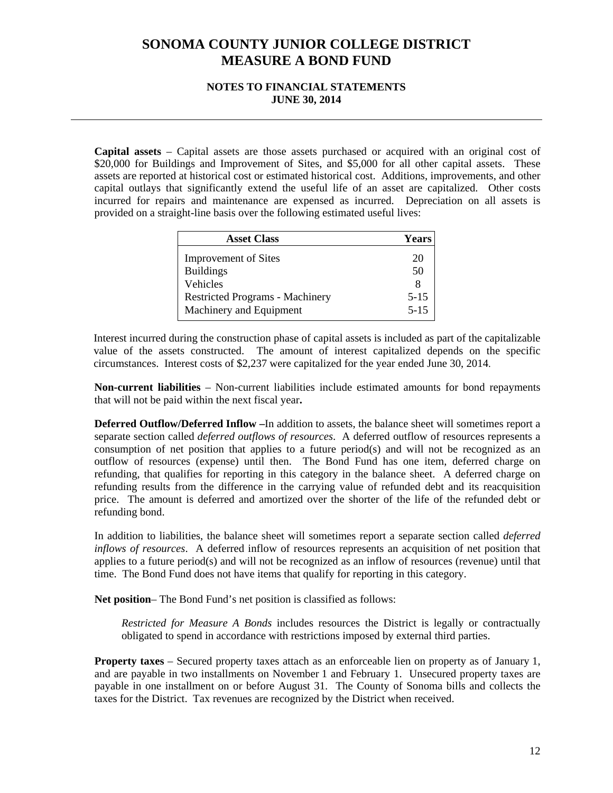### **NOTES TO FINANCIAL STATEMENTS JUNE 30, 2014**

**Capital assets** – Capital assets are those assets purchased or acquired with an original cost of \$20,000 for Buildings and Improvement of Sites, and \$5,000 for all other capital assets. These assets are reported at historical cost or estimated historical cost. Additions, improvements, and other capital outlays that significantly extend the useful life of an asset are capitalized. Other costs incurred for repairs and maintenance are expensed as incurred. Depreciation on all assets is provided on a straight-line basis over the following estimated useful lives:

| <b>Asset Class</b>                     | <b>Years</b> |
|----------------------------------------|--------------|
| <b>Improvement of Sites</b>            | 20           |
| <b>Buildings</b>                       | 50           |
| Vehicles                               | 8            |
| <b>Restricted Programs - Machinery</b> | $5 - 15$     |
| Machinery and Equipment                | $5 - 15$     |

Interest incurred during the construction phase of capital assets is included as part of the capitalizable value of the assets constructed. The amount of interest capitalized depends on the specific circumstances. Interest costs of \$2,237 were capitalized for the year ended June 30, 2014.

**Non-current liabilities** – Non-current liabilities include estimated amounts for bond repayments that will not be paid within the next fiscal year**.** 

**Deferred Outflow/Deferred Inflow –**In addition to assets, the balance sheet will sometimes report a separate section called *deferred outflows of resources*. A deferred outflow of resources represents a consumption of net position that applies to a future period(s) and will not be recognized as an outflow of resources (expense) until then. The Bond Fund has one item, deferred charge on refunding, that qualifies for reporting in this category in the balance sheet. A deferred charge on refunding results from the difference in the carrying value of refunded debt and its reacquisition price. The amount is deferred and amortized over the shorter of the life of the refunded debt or refunding bond.

In addition to liabilities, the balance sheet will sometimes report a separate section called *deferred inflows of resources*. A deferred inflow of resources represents an acquisition of net position that applies to a future period(s) and will not be recognized as an inflow of resources (revenue) until that time. The Bond Fund does not have items that qualify for reporting in this category.

**Net position**– The Bond Fund's net position is classified as follows:

*Restricted for Measure A Bonds* includes resources the District is legally or contractually obligated to spend in accordance with restrictions imposed by external third parties.

**Property taxes** – Secured property taxes attach as an enforceable lien on property as of January 1, and are payable in two installments on November 1 and February 1. Unsecured property taxes are payable in one installment on or before August 31. The County of Sonoma bills and collects the taxes for the District. Tax revenues are recognized by the District when received.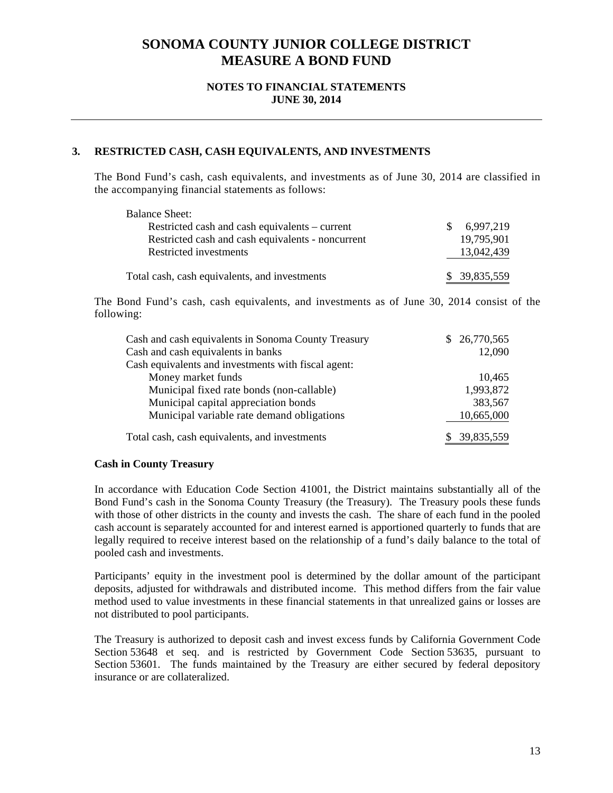### **NOTES TO FINANCIAL STATEMENTS JUNE 30, 2014**

## **3. RESTRICTED CASH, CASH EQUIVALENTS, AND INVESTMENTS**

The Bond Fund's cash, cash equivalents, and investments as of June 30, 2014 are classified in the accompanying financial statements as follows:

| <b>Balance Sheet:</b>                             |                 |
|---------------------------------------------------|-----------------|
| Restricted cash and cash equivalents – current    | 6.997.219<br>£. |
| Restricted cash and cash equivalents - noncurrent | 19.795.901      |
| Restricted investments                            | 13,042,439      |
| Total cash, cash equivalents, and investments     | \$39,835,559    |

The Bond Fund's cash, cash equivalents, and investments as of June 30, 2014 consist of the following:

| Cash and cash equivalents in Sonoma County Treasury | \$26,770,565 |
|-----------------------------------------------------|--------------|
| Cash and cash equivalents in banks                  | 12,090       |
| Cash equivalents and investments with fiscal agent: |              |
| Money market funds                                  | 10.465       |
| Municipal fixed rate bonds (non-callable)           | 1,993,872    |
| Municipal capital appreciation bonds                | 383,567      |
| Municipal variable rate demand obligations          | 10,665,000   |
| Total cash, cash equivalents, and investments       | \$39,835,559 |

#### **Cash in County Treasury**

In accordance with Education Code Section 41001, the District maintains substantially all of the Bond Fund's cash in the Sonoma County Treasury (the Treasury). The Treasury pools these funds with those of other districts in the county and invests the cash. The share of each fund in the pooled cash account is separately accounted for and interest earned is apportioned quarterly to funds that are legally required to receive interest based on the relationship of a fund's daily balance to the total of pooled cash and investments.

Participants' equity in the investment pool is determined by the dollar amount of the participant deposits, adjusted for withdrawals and distributed income. This method differs from the fair value method used to value investments in these financial statements in that unrealized gains or losses are not distributed to pool participants.

The Treasury is authorized to deposit cash and invest excess funds by California Government Code Section 53648 et seq. and is restricted by Government Code Section 53635, pursuant to Section 53601. The funds maintained by the Treasury are either secured by federal depository insurance or are collateralized.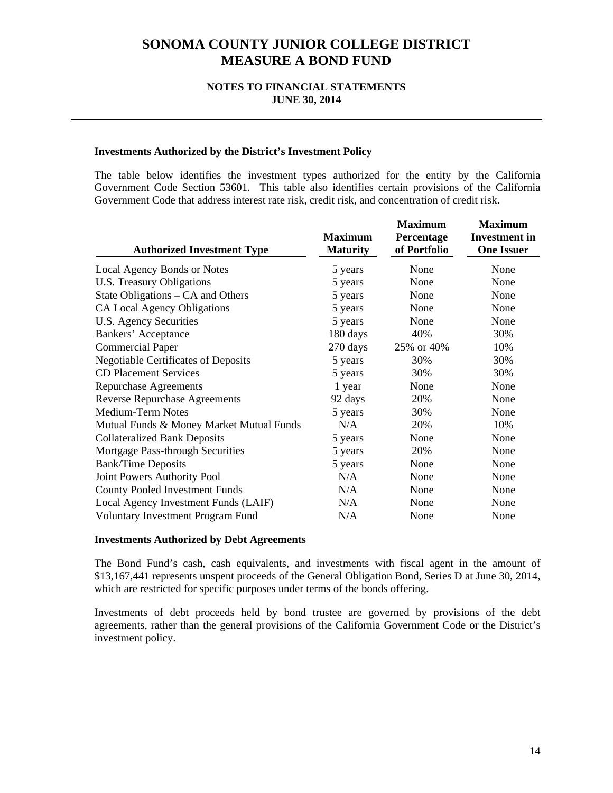#### **NOTES TO FINANCIAL STATEMENTS JUNE 30, 2014**

#### **Investments Authorized by the District's Investment Policy**

The table below identifies the investment types authorized for the entity by the California Government Code Section 53601. This table also identifies certain provisions of the California Government Code that address interest rate risk, credit risk, and concentration of credit risk.

| <b>Authorized Investment Type</b>          | <b>Maximum</b><br><b>Maturity</b> | <b>Maximum</b><br>Percentage<br>of Portfolio | <b>Maximum</b><br><b>Investment</b> in<br><b>One Issuer</b> |
|--------------------------------------------|-----------------------------------|----------------------------------------------|-------------------------------------------------------------|
| <b>Local Agency Bonds or Notes</b>         | 5 years                           | None                                         | None                                                        |
| U.S. Treasury Obligations                  | 5 years                           | None                                         | None                                                        |
| State Obligations – CA and Others          | 5 years                           | None                                         | None                                                        |
| CA Local Agency Obligations                | 5 years                           | None                                         | None                                                        |
| U.S. Agency Securities                     | 5 years                           | None                                         | None                                                        |
| Bankers' Acceptance                        | 180 days                          | 40%                                          | 30%                                                         |
| <b>Commercial Paper</b>                    | 270 days                          | 25% or 40%                                   | 10%                                                         |
| <b>Negotiable Certificates of Deposits</b> | 5 years                           | 30%                                          | 30%                                                         |
| <b>CD Placement Services</b>               | 5 years                           | 30%                                          | 30%                                                         |
| <b>Repurchase Agreements</b>               | 1 year                            | None                                         | None                                                        |
| <b>Reverse Repurchase Agreements</b>       | 92 days                           | 20%                                          | None                                                        |
| <b>Medium-Term Notes</b>                   | 5 years                           | 30%                                          | None                                                        |
| Mutual Funds & Money Market Mutual Funds   | N/A                               | 20%                                          | 10%                                                         |
| <b>Collateralized Bank Deposits</b>        | 5 years                           | None                                         | None                                                        |
| Mortgage Pass-through Securities           | 5 years                           | 20%                                          | None                                                        |
| <b>Bank/Time Deposits</b>                  | 5 years                           | None                                         | None                                                        |
| Joint Powers Authority Pool                | N/A                               | None                                         | None                                                        |
| <b>County Pooled Investment Funds</b>      | N/A                               | None                                         | None                                                        |
| Local Agency Investment Funds (LAIF)       | N/A                               | None                                         | None                                                        |
| <b>Voluntary Investment Program Fund</b>   | N/A                               | None                                         | None                                                        |

#### **Investments Authorized by Debt Agreements**

The Bond Fund's cash, cash equivalents, and investments with fiscal agent in the amount of \$13,167,441 represents unspent proceeds of the General Obligation Bond, Series D at June 30, 2014, which are restricted for specific purposes under terms of the bonds offering.

Investments of debt proceeds held by bond trustee are governed by provisions of the debt agreements, rather than the general provisions of the California Government Code or the District's investment policy.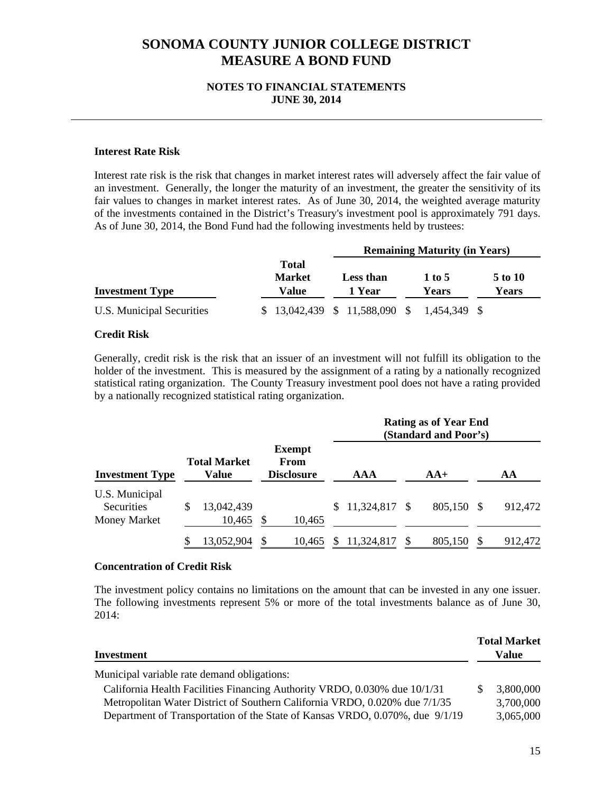### **NOTES TO FINANCIAL STATEMENTS JUNE 30, 2014**

#### **Interest Rate Risk**

of the investments contained in the District's Treasury's investment pool is approximately 791 days. Interest rate risk is the risk that changes in market interest rates will adversely affect the fair value of an investment. Generally, the longer the maturity of an investment, the greater the sensitivity of its fair values to changes in market interest rates. As of June 30, 2014, the weighted average maturity As of June 30, 2014, the Bond Fund had the following investments held by trustees:

|                           |                                        |                                                                   | <b>Remaining Maturity (in Years)</b> |                         |  |
|---------------------------|----------------------------------------|-------------------------------------------------------------------|--------------------------------------|-------------------------|--|
| <b>Investment Type</b>    | <b>Total</b><br><b>Market</b><br>Value | Less than<br>1 Year                                               | 1 to 5<br>Years                      | 5 to 10<br><b>Years</b> |  |
| U.S. Municipal Securities |                                        | $$13,042,439 \text{ } $11,588,090 \text{ } $1,454,349 \text{ } $$ |                                      |                         |  |

#### **Credit Risk**

Generally, credit risk is the risk that an issuer of an investment will not fulfill its obligation to the holder of the investment. This is measured by the assignment of a rating by a nationally recognized statistical rating organization. The County Treasury investment pool does not have a rating provided by a nationally recognized statistical rating organization.

| <b>Investment Type</b><br>U.S. Municipal<br><b>Securities</b><br><b>Money Market</b> |                              |                      |                                            |        |          |               |       | <b>Rating as of Year End</b><br>(Standard and Poor's) |    |         |
|--------------------------------------------------------------------------------------|------------------------------|----------------------|--------------------------------------------|--------|----------|---------------|-------|-------------------------------------------------------|----|---------|
|                                                                                      | <b>Total Market</b><br>Value |                      | <b>Exempt</b><br>From<br><b>Disclosure</b> |        | AAA      |               | $AA+$ |                                                       | AA |         |
|                                                                                      |                              | 13,042,439<br>10,465 | S                                          | 10,465 | <b>S</b> | 11,324,817 \$ |       | 805,150 \$                                            |    | 912,472 |
|                                                                                      |                              | 13,052,904           | S                                          | 10,465 |          | 11,324,817    |       | 805,150                                               |    | 912,472 |

#### **Concentration of Credit Risk**

The investment policy contains no limitations on the amount that can be invested in any one issuer. The following investments represent 5% or more of the total investments balance as of June 30, 2014:

| Investment                                                                   |     | <b>Total Market</b><br>Value |
|------------------------------------------------------------------------------|-----|------------------------------|
| Municipal variable rate demand obligations:                                  |     |                              |
| California Health Facilities Financing Authority VRDO, 0.030% due 10/1/31    | \$. | 3,800,000                    |
| Metropolitan Water District of Southern California VRDO, 0.020% due 7/1/35   |     | 3,700,000                    |
| Department of Transportation of the State of Kansas VRDO, 0.070%, due 9/1/19 |     | 3,065,000                    |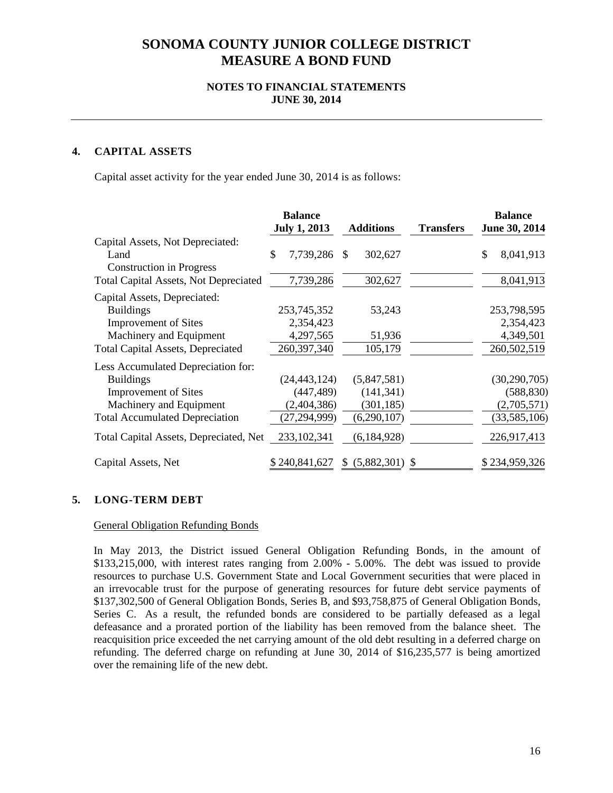### **NOTES TO FINANCIAL STATEMENTS JUNE 30, 2014**

## **4. CAPITAL ASSETS**

Capital asset activity for the year ended June 30, 2014 is as follows:

|                                              | <b>Balance</b>      |                          |                  | <b>Balance</b>  |  |
|----------------------------------------------|---------------------|--------------------------|------------------|-----------------|--|
|                                              | <b>July 1, 2013</b> | <b>Additions</b>         | <b>Transfers</b> | June 30, 2014   |  |
| Capital Assets, Not Depreciated:             |                     |                          |                  |                 |  |
| Land                                         | \$<br>7,739,286     | <sup>\$</sup><br>302,627 |                  | \$<br>8,041,913 |  |
| <b>Construction in Progress</b>              |                     |                          |                  |                 |  |
| <b>Total Capital Assets, Not Depreciated</b> | 7,739,286           | 302,627                  |                  | 8,041,913       |  |
| Capital Assets, Depreciated:                 |                     |                          |                  |                 |  |
| <b>Buildings</b>                             | 253,745,352         | 53,243                   |                  | 253,798,595     |  |
| <b>Improvement of Sites</b>                  | 2,354,423           |                          |                  | 2,354,423       |  |
| Machinery and Equipment                      | 4,297,565           | 51,936                   |                  | 4,349,501       |  |
| <b>Total Capital Assets, Depreciated</b>     | 260,397,340         | 105,179                  |                  | 260,502,519     |  |
| Less Accumulated Depreciation for:           |                     |                          |                  |                 |  |
| <b>Buildings</b>                             | (24, 443, 124)      | (5,847,581)              |                  | (30, 290, 705)  |  |
| <b>Improvement of Sites</b>                  | (447, 489)          | (141, 341)               |                  | (588, 830)      |  |
| Machinery and Equipment                      | (2,404,386)         | (301, 185)               |                  | (2,705,571)     |  |
| <b>Total Accumulated Depreciation</b>        | (27,294,999)        | (6,290,107)              |                  | (33, 585, 106)  |  |
| Total Capital Assets, Depreciated, Net       | 233, 102, 341       | (6, 184, 928)            |                  | 226,917,413     |  |
| Capital Assets, Net                          | \$240,841,627       | (5,882,301)<br>S.        | -S               | \$234,959,326   |  |

## **5. LONG-TERM DEBT**

#### General Obligation Refunding Bonds

In May 2013, the District issued General Obligation Refunding Bonds, in the amount of \$133,215,000, with interest rates ranging from 2.00% - 5.00%. The debt was issued to provide resources to purchase U.S. Government State and Local Government securities that were placed in an irrevocable trust for the purpose of generating resources for future debt service payments of \$137,302,500 of General Obligation Bonds, Series B, and \$93,758,875 of General Obligation Bonds, Series C. As a result, the refunded bonds are considered to be partially defeased as a legal defeasance and a prorated portion of the liability has been removed from the balance sheet. The reacquisition price exceeded the net carrying amount of the old debt resulting in a deferred charge on refunding. The deferred charge on refunding at June 30, 2014 of \$16,235,577 is being amortized over the remaining life of the new debt.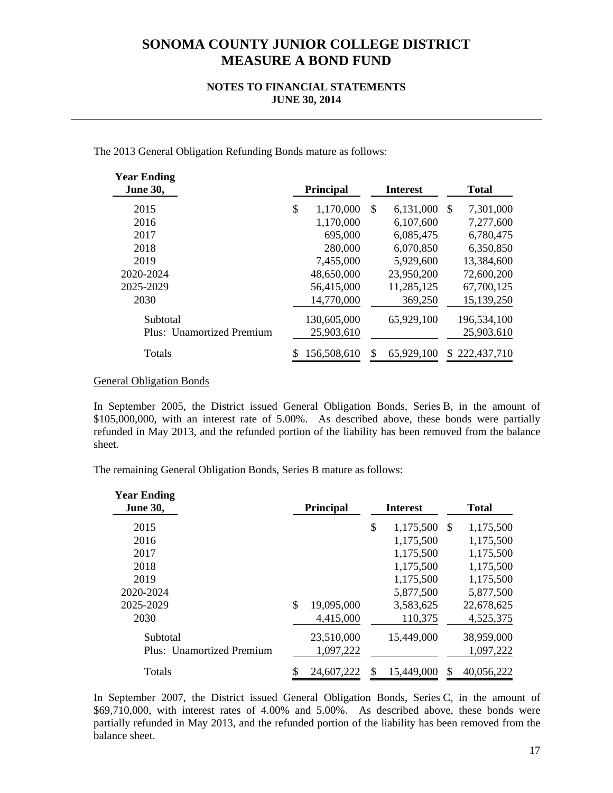#### **NOTES TO FINANCIAL STATEMENTS JUNE 30, 2014**

The 2013 General Obligation Refunding Bonds mature as follows:

| <b>Year Ending</b><br><b>June 30,</b> | <b>Principal</b> | <b>Interest</b>  |     | <b>Total</b>  |
|---------------------------------------|------------------|------------------|-----|---------------|
| 2015                                  | \$<br>1,170,000  | \$<br>6,131,000  | \$. | 7,301,000     |
| 2016                                  | 1,170,000        | 6,107,600        |     | 7,277,600     |
| 2017                                  | 695,000          | 6,085,475        |     | 6,780,475     |
| 2018                                  | 280,000          | 6,070,850        |     | 6,350,850     |
| 2019                                  | 7,455,000        | 5,929,600        |     | 13,384,600    |
| 2020-2024                             | 48,650,000       | 23,950,200       |     | 72,600,200    |
| 2025-2029                             | 56,415,000       | 11,285,125       |     | 67,700,125    |
| 2030                                  | 14,770,000       | 369,250          |     | 15,139,250    |
| Subtotal                              | 130,605,000      | 65,929,100       |     | 196,534,100   |
| Plus: Unamortized Premium             | 25,903,610       |                  |     | 25,903,610    |
| <b>Totals</b>                         | 156,508,610      | \$<br>65,929,100 |     | \$222,437,710 |

#### General Obligation Bonds

In September 2005, the District issued General Obligation Bonds, Series B, in the amount of \$105,000,000, with an interest rate of 5.00%. As described above, these bonds were partially refunded in May 2013, and the refunded portion of the liability has been removed from the balance sheet.

The remaining General Obligation Bonds, Series B mature as follows:

| <b>Year Ending</b><br><b>June 30,</b> | <b>Principal</b> | <b>Interest</b> |    | <b>Total</b> |
|---------------------------------------|------------------|-----------------|----|--------------|
| 2015                                  |                  | \$<br>1,175,500 | -S | 1,175,500    |
| 2016                                  |                  | 1,175,500       |    | 1,175,500    |
| 2017                                  |                  | 1,175,500       |    | 1,175,500    |
| 2018                                  |                  | 1,175,500       |    | 1,175,500    |
| 2019                                  |                  | 1,175,500       |    | 1,175,500    |
| 2020-2024                             |                  | 5,877,500       |    | 5,877,500    |
| 2025-2029                             | \$<br>19,095,000 | 3,583,625       |    | 22,678,625   |
| 2030                                  | 4,415,000        | 110,375         |    | 4,525,375    |
| Subtotal                              | 23,510,000       | 15,449,000      |    | 38,959,000   |
| Plus: Unamortized Premium             | 1,097,222        |                 |    | 1,097,222    |
| Totals                                | 24,607,222       | 15,449,000      |    | 40,056,222   |

In September 2007, the District issued General Obligation Bonds, Series C, in the amount of \$69,710,000, with interest rates of 4.00% and 5.00%. As described above, these bonds were partially refunded in May 2013, and the refunded portion of the liability has been removed from the balance sheet.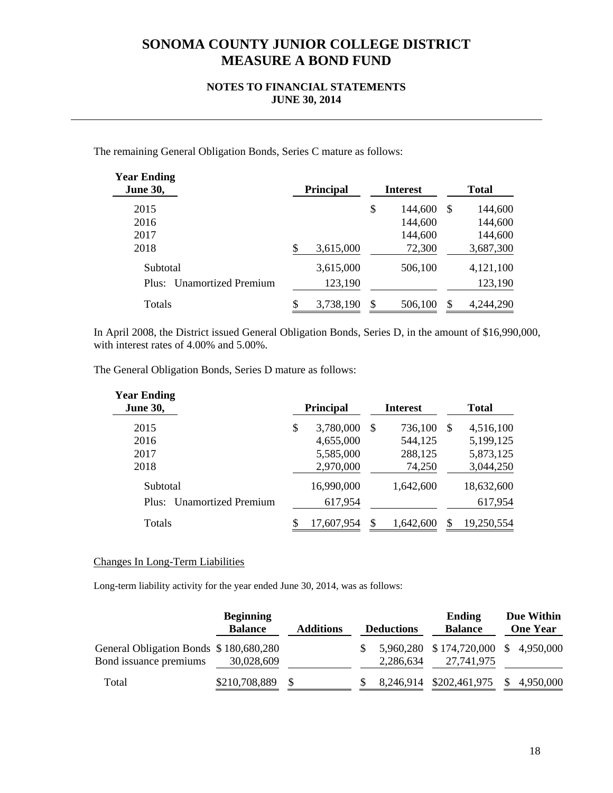## **NOTES TO FINANCIAL STATEMENTS JUNE 30, 2014**

The remaining General Obligation Bonds, Series C mature as follows:

| <b>Year Ending</b><br><b>June 30,</b> |                            |   | <b>Principal</b> | <b>Interest</b> |               | Total     |
|---------------------------------------|----------------------------|---|------------------|-----------------|---------------|-----------|
| 2015                                  |                            |   |                  | \$<br>144,600   | <sup>\$</sup> | 144,600   |
| 2016                                  |                            |   |                  | 144,600         |               | 144,600   |
| 2017                                  |                            |   |                  | 144,600         |               | 144,600   |
| 2018                                  |                            |   | 3,615,000        | 72,300          |               | 3,687,300 |
| Subtotal                              |                            |   | 3,615,000        | 506,100         |               | 4,121,100 |
| Plus:                                 | <b>Unamortized Premium</b> |   | 123,190          |                 |               | 123,190   |
| Totals                                |                            | S | 3,738,190        | \$<br>506,100   | S             | 4,244,290 |

with interest rates of 4.00% and 5.00%. In April 2008, the District issued General Obligation Bonds, Series D, in the amount of \$16,990,000,

The General Obligation Bonds, Series D mature as follows:

| <b>Year Ending</b><br><b>June 30,</b> | <b>Principal</b> |               | <b>Interest</b> |              | <b>Total</b> |
|---------------------------------------|------------------|---------------|-----------------|--------------|--------------|
| 2015                                  | \$<br>3,780,000  | \$            | 736,100         | <sup>S</sup> | 4,516,100    |
| 2016                                  | 4,655,000        |               | 544,125         |              | 5,199,125    |
| 2017                                  | 5,585,000        |               | 288,125         |              | 5,873,125    |
| 2018                                  | 2,970,000        |               | 74,250          |              | 3,044,250    |
| Subtotal                              | 16,990,000       |               | 1,642,600       |              | 18,632,600   |
| <b>Unamortized Premium</b><br>Plus:   | 617,954          |               |                 |              | 617,954      |
| <b>Totals</b>                         | \$<br>17,607,954 | <sup>\$</sup> | 1,642,600       | \$.          | 19,250,554   |

## Changes In Long-Term Liabilities

Long-term liability activity for the year ended June 30, 2014, was as follows:

|                                                                  | <b>Beginning</b><br><b>Balance</b> | <b>Additions</b> | <b>Deductions</b> | Ending<br><b>Balance</b>                          | Due Within<br><b>One Year</b> |
|------------------------------------------------------------------|------------------------------------|------------------|-------------------|---------------------------------------------------|-------------------------------|
| General Obligation Bonds \$180,680,280<br>Bond issuance premiums | 30,028,609                         |                  | 2,286,634         | 5,960,280 \$174,720,000 \$4,950,000<br>27,741,975 |                               |
| Total                                                            | \$210,708,889                      |                  |                   | 8,246,914 \$202,461,975                           | \$ 4,950,000                  |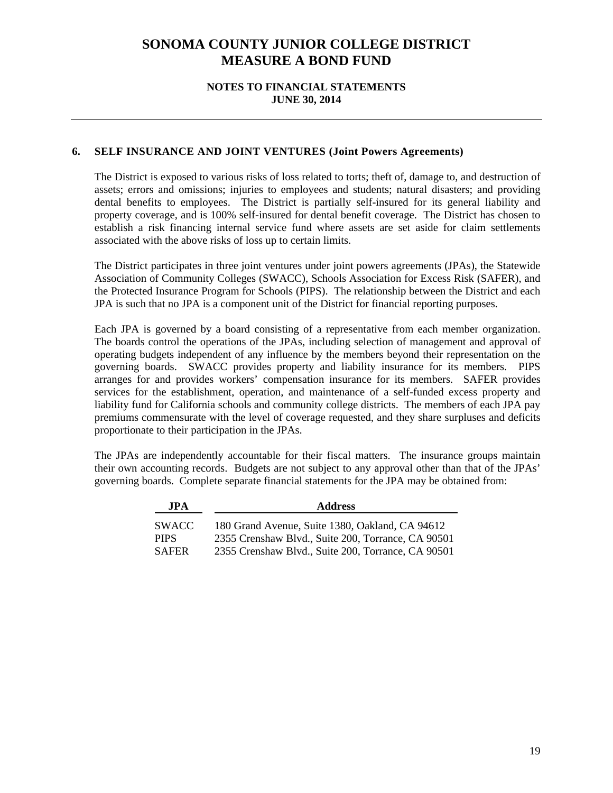### **NOTES TO FINANCIAL STATEMENTS JUNE 30, 2014**

## **6. SELF INSURANCE AND JOINT VENTURES (Joint Powers Agreements)**

The District is exposed to various risks of loss related to torts; theft of, damage to, and destruction of assets; errors and omissions; injuries to employees and students; natural disasters; and providing dental benefits to employees. The District is partially self-insured for its general liability and property coverage, and is 100% self-insured for dental benefit coverage. The District has chosen to establish a risk financing internal service fund where assets are set aside for claim settlements associated with the above risks of loss up to certain limits.

The District participates in three joint ventures under joint powers agreements (JPAs), the Statewide Association of Community Colleges (SWACC), Schools Association for Excess Risk (SAFER), and the Protected Insurance Program for Schools (PIPS). The relationship between the District and each JPA is such that no JPA is a component unit of the District for financial reporting purposes.

Each JPA is governed by a board consisting of a representative from each member organization. The boards control the operations of the JPAs, including selection of management and approval of operating budgets independent of any influence by the members beyond their representation on the governing boards. SWACC provides property and liability insurance for its members. PIPS arranges for and provides workers' compensation insurance for its members. SAFER provides services for the establishment, operation, and maintenance of a self-funded excess property and liability fund for California schools and community college districts. The members of each JPA pay premiums commensurate with the level of coverage requested, and they share surpluses and deficits proportionate to their participation in the JPAs.

The JPAs are independently accountable for their fiscal matters. The insurance groups maintain their own accounting records. Budgets are not subject to any approval other than that of the JPAs' governing boards. Complete separate financial statements for the JPA may be obtained from:

| <b>JPA</b> | <b>Address</b>                                     |
|------------|----------------------------------------------------|
| SWACC-     | 180 Grand Avenue, Suite 1380, Oakland, CA 94612    |
| PIPS.      | 2355 Crenshaw Blvd., Suite 200, Torrance, CA 90501 |
| SAFER      | 2355 Crenshaw Blvd., Suite 200, Torrance, CA 90501 |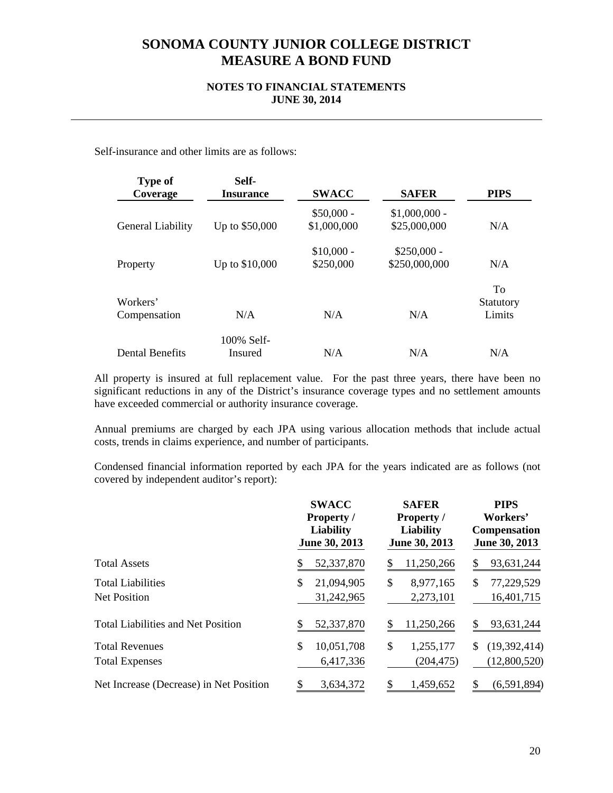## **NOTES TO FINANCIAL STATEMENTS JUNE 30, 2014**

Self-insurance and other limits are as follows:

| <b>Type of</b><br>Coverage | Self-<br><b>Insurance</b> | <b>SWACC</b>               | <b>SAFER</b>                   | <b>PIPS</b>               |  |
|----------------------------|---------------------------|----------------------------|--------------------------------|---------------------------|--|
| General Liability          | Up to \$50,000            | $$50,000 -$<br>\$1,000,000 | $$1,000,000$ -<br>\$25,000,000 | N/A                       |  |
| Property                   | Up to \$10,000            | $$10,000 -$<br>\$250,000   | $$250,000 -$<br>\$250,000,000  | N/A                       |  |
| Workers'<br>Compensation   | N/A                       | N/A                        | N/A                            | To<br>Statutory<br>Limits |  |
| <b>Dental Benefits</b>     | $100\%$ Self-<br>Insured  | N/A                        | N/A                            | N/A                       |  |

All property is insured at full replacement value. For the past three years, there have been no significant reductions in any of the District's insurance coverage types and no settlement amounts have exceeded commercial or authority insurance coverage.

Annual premiums are charged by each JPA using various allocation methods that include actual costs, trends in claims experience, and number of participants.

Condensed financial information reported by each JPA for the years indicated are as follows (not covered by independent auditor's report):

|                                                 | <b>SWACC</b><br><b>Property</b> /<br><b>Liability</b><br>June 30, 2013 | <b>SAFER</b><br><b>Property</b> /<br><b>Liability</b><br>June 30, 2013 | <b>PIPS</b><br>Workers'<br>Compensation<br>June 30, 2013 |  |  |
|-------------------------------------------------|------------------------------------------------------------------------|------------------------------------------------------------------------|----------------------------------------------------------|--|--|
| <b>Total Assets</b>                             | 52,337,870<br>\$                                                       | 11,250,266<br>\$                                                       | 93,631,244<br>\$                                         |  |  |
| <b>Total Liabilities</b><br><b>Net Position</b> | \$<br>21,094,905<br>31,242,965                                         | \$<br>8,977,165<br>2,273,101                                           | 77,229,529<br>\$<br>16,401,715                           |  |  |
| <b>Total Liabilities and Net Position</b>       | 52,337,870                                                             | 11,250,266<br>S                                                        | 93,631,244                                               |  |  |
| <b>Total Revenues</b><br><b>Total Expenses</b>  | \$<br>10,051,708<br>6,417,336                                          | \$<br>1,255,177<br>(204, 475)                                          | (19,392,414)<br>S.<br>(12,800,520)                       |  |  |
| Net Increase (Decrease) in Net Position         | \$<br>3,634,372                                                        | 1,459,652                                                              | (6,591,894)                                              |  |  |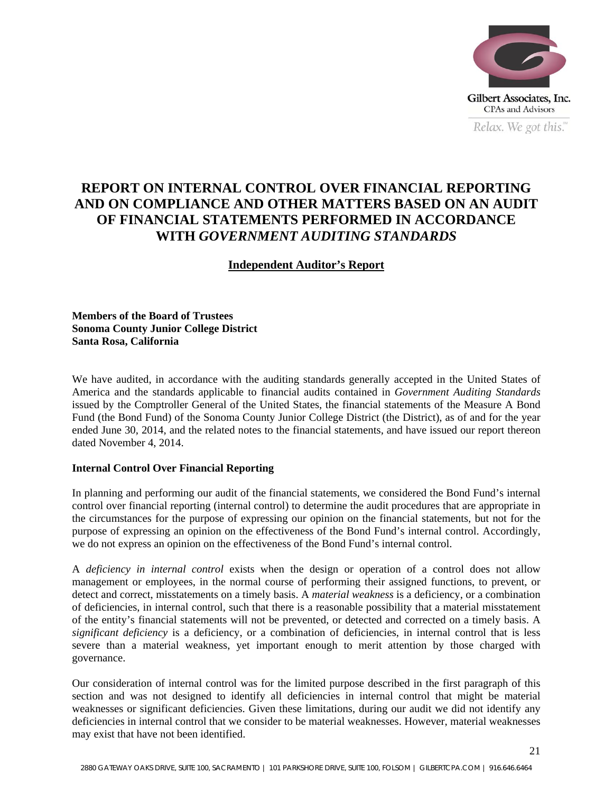

# **REPORT ON INTERNAL CONTROL OVER FINANCIAL REPORTING AND ON COMPLIANCE AND OTHER MATTERS BASED ON AN AUDIT OF FINANCIAL STATEMENTS PERFORMED IN ACCORDANCE WITH** *GOVERNMENT AUDITING STANDARDS*

# **Independent Auditor's Report**

**Members of the Board of Trustees Sonoma County Junior College District Santa Rosa, California** 

We have audited, in accordance with the auditing standards generally accepted in the United States of America and the standards applicable to financial audits contained in *Government Auditing Standards*  issued by the Comptroller General of the United States, the financial statements of the Measure A Bond Fund (the Bond Fund) of the Sonoma County Junior College District (the District), as of and for the year ended June 30, 2014, and the related notes to the financial statements, and have issued our report thereon dated November 4, 2014.

## **Internal Control Over Financial Reporting**

In planning and performing our audit of the financial statements, we considered the Bond Fund's internal control over financial reporting (internal control) to determine the audit procedures that are appropriate in the circumstances for the purpose of expressing our opinion on the financial statements, but not for the purpose of expressing an opinion on the effectiveness of the Bond Fund's internal control. Accordingly, we do not express an opinion on the effectiveness of the Bond Fund's internal control.

A *deficiency in internal control* exists when the design or operation of a control does not allow management or employees, in the normal course of performing their assigned functions, to prevent, or detect and correct, misstatements on a timely basis. A *material weakness* is a deficiency, or a combination of deficiencies, in internal control, such that there is a reasonable possibility that a material misstatement of the entity's financial statements will not be prevented, or detected and corrected on a timely basis. A *significant deficiency* is a deficiency, or a combination of deficiencies, in internal control that is less severe than a material weakness, yet important enough to merit attention by those charged with governance.

Our consideration of internal control was for the limited purpose described in the first paragraph of this section and was not designed to identify all deficiencies in internal control that might be material weaknesses or significant deficiencies. Given these limitations, during our audit we did not identify any deficiencies in internal control that we consider to be material weaknesses. However, material weaknesses may exist that have not been identified.